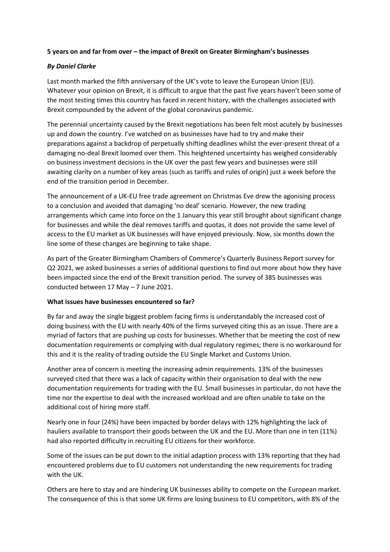## **5 years on and far from over – the impact of Brexit on Greater Birmingham's businesses**

# *By Daniel Clarke*

Last month marked the fifth anniversary of the UK's vote to leave the European Union (EU). Whatever your opinion on Brexit, it is difficult to argue that the past five years haven't been some of the most testing times this country has faced in recent history, with the challenges associated with Brexit compounded by the advent of the global coronavirus pandemic.

The perennial uncertainty caused by the Brexit negotiations has been felt most acutely by businesses up and down the country. I've watched on as businesses have had to try and make their preparations against a backdrop of perpetually shifting deadlines whilst the ever-present threat of a damaging no-deal Brexit loomed over them. This heightened uncertainty has weighed considerably on business investment decisions in the UK over the past few years and businesses were still awaiting clarity on a number of key areas (such as tariffs and rules of origin) just a week before the end of the transition period in December.

The announcement of a UK-EU free trade agreement on Christmas Eve drew the agonising process to a conclusion and avoided that damaging 'no deal' scenario. However, the new trading arrangements which came into force on the 1 January this year still brought about significant change for businesses and while the deal removes tariffs and quotas, it does not provide the same level of access to the EU market as UK businesses will have enjoyed previously. Now, six months down the line some of these changes are beginning to take shape.

As part of the Greater Birmingham Chambers of Commerce's Quarterly Business Report survey for Q2 2021, we asked businesses a series of additional questions to find out more about how they have been impacted since the end of the Brexit transition period. The survey of 385 businesses was conducted between 17 May – 7 June 2021.

### **What issues have businesses encountered so far?**

By far and away the single biggest problem facing firms is understandably the increased cost of doing business with the EU with nearly 40% of the firms surveyed citing this as an issue. There are a myriad of factors that are pushing up costs for businesses. Whether that be meeting the cost of new documentation requirements or complying with dual regulatory regimes; there is no workaround for this and it is the reality of trading outside the EU Single Market and Customs Union.

Another area of concern is meeting the increasing admin requirements. 13% of the businesses surveyed cited that there was a lack of capacity within their organisation to deal with the new documentation requirements for trading with the EU. Small businesses in particular, do not have the time nor the expertise to deal with the increased workload and are often unable to take on the additional cost of hiring more staff.

Nearly one in four (24%) have been impacted by border delays with 12% highlighting the lack of hauliers available to transport their goods between the UK and the EU. More than one in ten (11%) had also reported difficulty in recruiting EU citizens for their workforce.

Some of the issues can be put down to the initial adaption process with 13% reporting that they had encountered problems due to EU customers not understanding the new requirements for trading with the UK.

Others are here to stay and are hindering UK businesses ability to compete on the European market. The consequence of this is that some UK firms are losing business to EU competitors, with 8% of the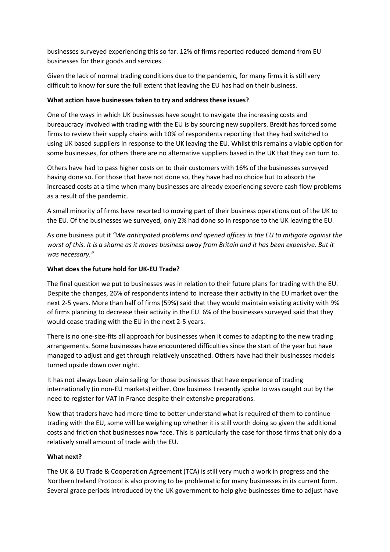businesses surveyed experiencing this so far. 12% of firms reported reduced demand from EU businesses for their goods and services.

Given the lack of normal trading conditions due to the pandemic, for many firms it is still very difficult to know for sure the full extent that leaving the EU has had on their business.

## **What action have businesses taken to try and address these issues?**

One of the ways in which UK businesses have sought to navigate the increasing costs and bureaucracy involved with trading with the EU is by sourcing new suppliers. Brexit has forced some firms to review their supply chains with 10% of respondents reporting that they had switched to using UK based suppliers in response to the UK leaving the EU. Whilst this remains a viable option for some businesses, for others there are no alternative suppliers based in the UK that they can turn to.

Others have had to pass higher costs on to their customers with 16% of the businesses surveyed having done so. For those that have not done so, they have had no choice but to absorb the increased costs at a time when many businesses are already experiencing severe cash flow problems as a result of the pandemic.

A small minority of firms have resorted to moving part of their business operations out of the UK to the EU. Of the businesses we surveyed, only 2% had done so in response to the UK leaving the EU.

As one business put it *"We anticipated problems and opened offices in the EU to mitigate against the worst of this. It is a shame as it moves business away from Britain and it has been expensive. But it was necessary."*

# **What does the future hold for UK-EU Trade?**

The final question we put to businesses was in relation to their future plans for trading with the EU. Despite the changes, 26% of respondents intend to increase their activity in the EU market over the next 2-5 years. More than half of firms (59%) said that they would maintain existing activity with 9% of firms planning to decrease their activity in the EU. 6% of the businesses surveyed said that they would cease trading with the EU in the next 2-5 years.

There is no one-size-fits all approach for businesses when it comes to adapting to the new trading arrangements. Some businesses have encountered difficulties since the start of the year but have managed to adjust and get through relatively unscathed. Others have had their businesses models turned upside down over night.

It has not always been plain sailing for those businesses that have experience of trading internationally (in non-EU markets) either. One business I recently spoke to was caught out by the need to register for VAT in France despite their extensive preparations.

Now that traders have had more time to better understand what is required of them to continue trading with the EU, some will be weighing up whether it is still worth doing so given the additional costs and friction that businesses now face. This is particularly the case for those firms that only do a relatively small amount of trade with the EU.

### **What next?**

The UK & EU Trade & Cooperation Agreement (TCA) is still very much a work in progress and the Northern Ireland Protocol is also proving to be problematic for many businesses in its current form. Several grace periods introduced by the UK government to help give businesses time to adjust have